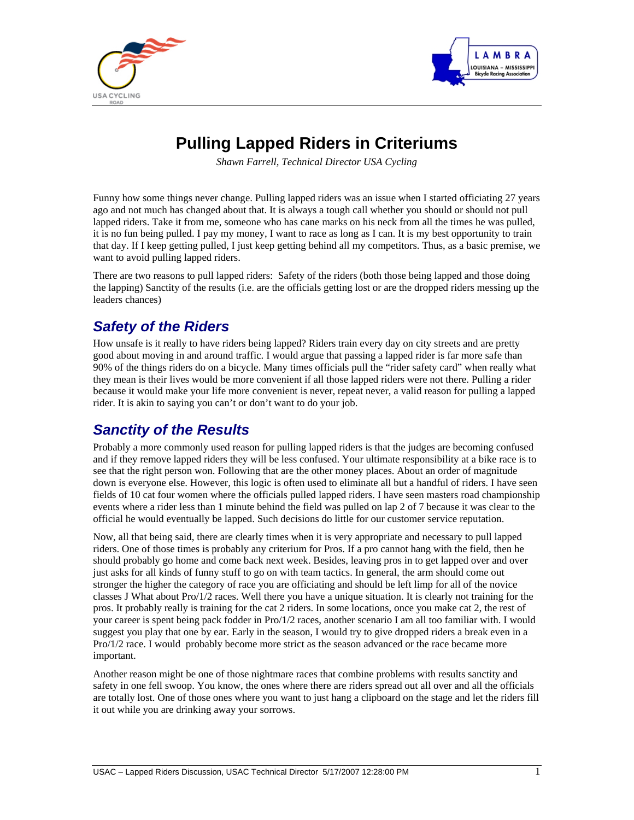



## **Pulling Lapped Riders in Criteriums**

*Shawn Farrell, Technical Director USA Cycling* 

Funny how some things never change. Pulling lapped riders was an issue when I started officiating 27 years ago and not much has changed about that. It is always a tough call whether you should or should not pull lapped riders. Take it from me, someone who has cane marks on his neck from all the times he was pulled, it is no fun being pulled. I pay my money, I want to race as long as I can. It is my best opportunity to train that day. If I keep getting pulled, I just keep getting behind all my competitors. Thus, as a basic premise, we want to avoid pulling lapped riders.

There are two reasons to pull lapped riders: Safety of the riders (both those being lapped and those doing the lapping) Sanctity of the results (i.e. are the officials getting lost or are the dropped riders messing up the leaders chances)

## *Safety of the Riders*

How unsafe is it really to have riders being lapped? Riders train every day on city streets and are pretty good about moving in and around traffic. I would argue that passing a lapped rider is far more safe than 90% of the things riders do on a bicycle. Many times officials pull the "rider safety card" when really what they mean is their lives would be more convenient if all those lapped riders were not there. Pulling a rider because it would make your life more convenient is never, repeat never, a valid reason for pulling a lapped rider. It is akin to saying you can't or don't want to do your job.

## *Sanctity of the Results*

Probably a more commonly used reason for pulling lapped riders is that the judges are becoming confused and if they remove lapped riders they will be less confused. Your ultimate responsibility at a bike race is to see that the right person won. Following that are the other money places. About an order of magnitude down is everyone else. However, this logic is often used to eliminate all but a handful of riders. I have seen fields of 10 cat four women where the officials pulled lapped riders. I have seen masters road championship events where a rider less than 1 minute behind the field was pulled on lap 2 of 7 because it was clear to the official he would eventually be lapped. Such decisions do little for our customer service reputation.

Now, all that being said, there are clearly times when it is very appropriate and necessary to pull lapped riders. One of those times is probably any criterium for Pros. If a pro cannot hang with the field, then he should probably go home and come back next week. Besides, leaving pros in to get lapped over and over just asks for all kinds of funny stuff to go on with team tactics. In general, the arm should come out stronger the higher the category of race you are officiating and should be left limp for all of the novice classes J What about Pro/1/2 races. Well there you have a unique situation. It is clearly not training for the pros. It probably really is training for the cat 2 riders. In some locations, once you make cat 2, the rest of your career is spent being pack fodder in Pro/1/2 races, another scenario I am all too familiar with. I would suggest you play that one by ear. Early in the season, I would try to give dropped riders a break even in a Pro/1/2 race. I would probably become more strict as the season advanced or the race became more important.

Another reason might be one of those nightmare races that combine problems with results sanctity and safety in one fell swoop. You know, the ones where there are riders spread out all over and all the officials are totally lost. One of those ones where you want to just hang a clipboard on the stage and let the riders fill it out while you are drinking away your sorrows.